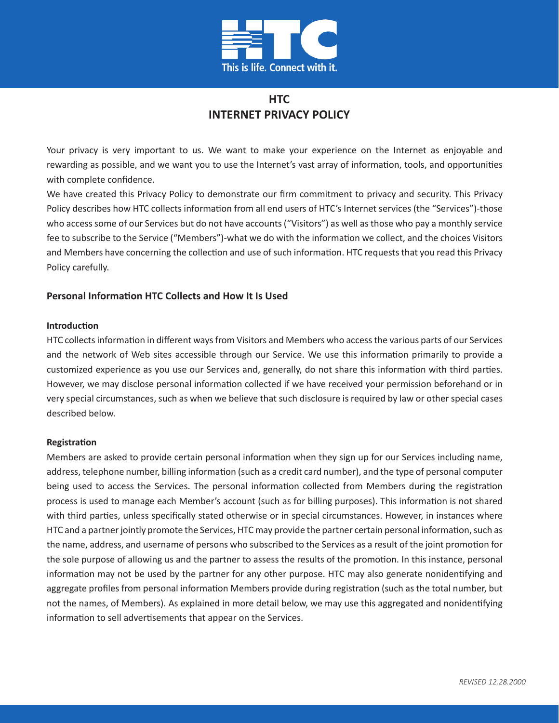

# **HTC INTERNET PRIVACY POLICY**

Your privacy is very important to us. We want to make your experience on the Internet as enjoyable and rewarding as possible, and we want you to use the Internet's vast array of information, tools, and opportunities with complete confidence.

We have created this Privacy Policy to demonstrate our firm commitment to privacy and security. This Privacy Policy describes how HTC collects information from all end users of HTC's Internet services (the "Services")-those who access some of our Services but do not have accounts ("Visitors") as well as those who pay a monthly service fee to subscribe to the Service ("Members")-what we do with the information we collect, and the choices Visitors and Members have concerning the collection and use of such information. HTC requests that you read this Privacy Policy carefully.

## **Personal Information HTC Collects and How It Is Used**

#### **Introduction**

HTC collects information in different ways from Visitors and Members who access the various parts of our Services and the network of Web sites accessible through our Service. We use this information primarily to provide a customized experience as you use our Services and, generally, do not share this information with third parties. However, we may disclose personal information collected if we have received your permission beforehand or in very special circumstances, such as when we believe that such disclosure is required by law or other special cases described below.

#### **Registration**

Members are asked to provide certain personal information when they sign up for our Services including name, address, telephone number, billing information (such as a credit card number), and the type of personal computer being used to access the Services. The personal information collected from Members during the registration process is used to manage each Member's account (such as for billing purposes). This information is not shared with third parties, unless specifically stated otherwise or in special circumstances. However, in instances where HTC and a partner jointly promote the Services, HTC may provide the partner certain personal information, such as the name, address, and username of persons who subscribed to the Services as a result of the joint promotion for the sole purpose of allowing us and the partner to assess the results of the promotion. In this instance, personal information may not be used by the partner for any other purpose. HTC may also generate nonidentifying and aggregate profiles from personal information Members provide during registration (such as the total number, but not the names, of Members). As explained in more detail below, we may use this aggregated and nonidentifying information to sell advertisements that appear on the Services.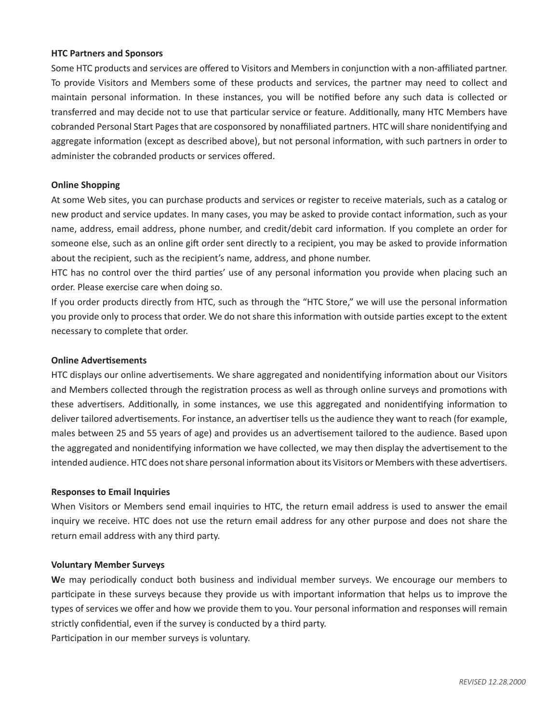#### **HTC Partners and Sponsors**

Some HTC products and services are offered to Visitors and Members in conjunction with a non-affiliated partner. To provide Visitors and Members some of these products and services, the partner may need to collect and maintain personal information. In these instances, you will be notified before any such data is collected or transferred and may decide not to use that particular service or feature. Additionally, many HTC Members have cobranded Personal Start Pages that are cosponsored by nonaffiliated partners. HTC will share nonidentifying and aggregate information (except as described above), but not personal information, with such partners in order to administer the cobranded products or services offered.

## **Online Shopping**

At some Web sites, you can purchase products and services or register to receive materials, such as a catalog or new product and service updates. In many cases, you may be asked to provide contact information, such as your name, address, email address, phone number, and credit/debit card information. If you complete an order for someone else, such as an online gift order sent directly to a recipient, you may be asked to provide information about the recipient, such as the recipient's name, address, and phone number.

HTC has no control over the third parties' use of any personal information you provide when placing such an order. Please exercise care when doing so.

If you order products directly from HTC, such as through the "HTC Store," we will use the personal information you provide only to process that order. We do not share this information with outside parties except to the extent necessary to complete that order.

### **Online Advertisements**

HTC displays our online advertisements. We share aggregated and nonidentifying information about our Visitors and Members collected through the registration process as well as through online surveys and promotions with these advertisers. Additionally, in some instances, we use this aggregated and nonidentifying information to deliver tailored advertisements. For instance, an advertiser tells us the audience they want to reach (for example, males between 25 and 55 years of age) and provides us an advertisement tailored to the audience. Based upon the aggregated and nonidentifying information we have collected, we may then display the advertisement to the intended audience. HTC does not share personal information about its Visitors or Members with these advertisers.

#### **Responses to Email Inquiries**

When Visitors or Members send email inquiries to HTC, the return email address is used to answer the email inquiry we receive. HTC does not use the return email address for any other purpose and does not share the return email address with any third party.

#### **Voluntary Member Surveys**

**W**e may periodically conduct both business and individual member surveys. We encourage our members to participate in these surveys because they provide us with important information that helps us to improve the types of services we offer and how we provide them to you. Your personal information and responses will remain strictly confidential, even if the survey is conducted by a third party. Participation in our member surveys is voluntary.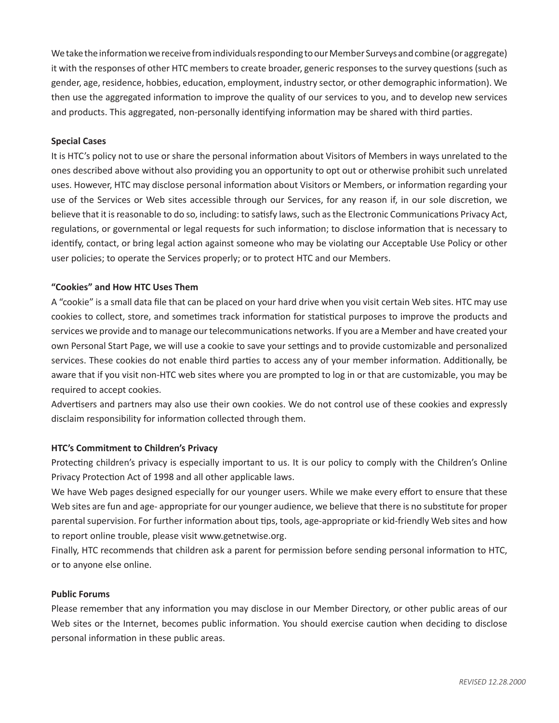We take the information we receive from individuals responding to our Member Surveys and combine (or aggregate) it with the responses of other HTC members to create broader, generic responses to the survey questions (such as gender, age, residence, hobbies, education, employment, industry sector, or other demographic information). We then use the aggregated information to improve the quality of our services to you, and to develop new services and products. This aggregated, non-personally identifying information may be shared with third parties.

## **Special Cases**

It is HTC's policy not to use or share the personal information about Visitors of Members in ways unrelated to the ones described above without also providing you an opportunity to opt out or otherwise prohibit such unrelated uses. However, HTC may disclose personal information about Visitors or Members, or information regarding your use of the Services or Web sites accessible through our Services, for any reason if, in our sole discretion, we believe that it is reasonable to do so, including: to satisfy laws, such as the Electronic Communications Privacy Act, regulations, or governmental or legal requests for such information; to disclose information that is necessary to identify, contact, or bring legal action against someone who may be violating our Acceptable Use Policy or other user policies; to operate the Services properly; or to protect HTC and our Members.

## **"Cookies" and How HTC Uses Them**

A "cookie" is a small data file that can be placed on your hard drive when you visit certain Web sites. HTC may use cookies to collect, store, and sometimes track information for statistical purposes to improve the products and services we provide and to manage our telecommunications networks. If you are a Member and have created your own Personal Start Page, we will use a cookie to save your settings and to provide customizable and personalized services. These cookies do not enable third parties to access any of your member information. Additionally, be aware that if you visit non-HTC web sites where you are prompted to log in or that are customizable, you may be required to accept cookies.

Advertisers and partners may also use their own cookies. We do not control use of these cookies and expressly disclaim responsibility for information collected through them.

#### **HTC's Commitment to Children's Privacy**

Protecting children's privacy is especially important to us. It is our policy to comply with the Children's Online Privacy Protection Act of 1998 and all other applicable laws.

We have Web pages designed especially for our younger users. While we make every effort to ensure that these Web sites are fun and age- appropriate for our younger audience, we believe that there is no substitute for proper parental supervision. For further information about tips, tools, age-appropriate or kid-friendly Web sites and how to report online trouble, please visit [www.getnetwise.org.](http://www.getnetwise.org)

Finally, HTC recommends that children ask a parent for permission before sending personal information to HTC, or to anyone else online.

#### **Public Forums**

Please remember that any information you may disclose in our Member Directory, or other public areas of our Web sites or the Internet, becomes public information. You should exercise caution when deciding to disclose personal information in these public areas.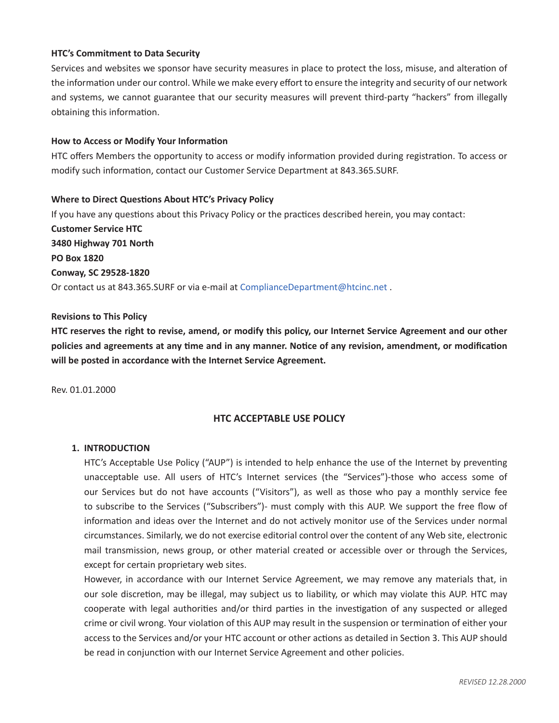## **HTC's Commitment to Data Security**

Services and websites we sponsor have security measures in place to protect the loss, misuse, and alteration of the information under our control. While we make every effort to ensure the integrity and security of our network and systems, we cannot guarantee that our security measures will prevent third-party "hackers" from illegally obtaining this information.

#### **How to Access or Modify Your Information**

HTC offers Members the opportunity to access or modify information provided during registration. To access or modify such information, contact our Customer Service Department at 843.365.SURF.

## **Where to Direct Questions About HTC's Privacy Policy**

If you have any questions about this Privacy Policy or the practices described herein, you may contact: **Customer Service HTC 3480 Highway 701 North PO Box 1820 Conway, SC 29528-1820** Or contact us at 843.365.SURF or via e-mail at [ComplianceDepartment@htcinc.net](mailto:ComplianceDepartment@htcinc.net) .

## **Revisions to This Policy**

**HTC reserves the right to revise, amend, or modify this policy, our Internet Service Agreement and our other policies and agreements at any time and in any manner. Notice of any revision, amendment, or modification will be posted in accordance with the Internet Service Agreement.**

Rev. 01.01.2000

## **HTC ACCEPTABLE USE POLICY**

#### **1. INTRODUCTION**

HTC's Acceptable Use Policy ("AUP") is intended to help enhance the use of the Internet by preventing unacceptable use. All users of HTC's Internet services (the "Services")-those who access some of our Services but do not have accounts ("Visitors"), as well as those who pay a monthly service fee to subscribe to the Services ("Subscribers")- must comply with this AUP. We support the free flow of information and ideas over the Internet and do not actively monitor use of the Services under normal circumstances. Similarly, we do not exercise editorial control over the content of any Web site, electronic mail transmission, news group, or other material created or accessible over or through the Services, except for certain proprietary web sites.

However, in accordance with our Internet Service Agreement, we may remove any materials that, in our sole discretion, may be illegal, may subject us to liability, or which may violate this AUP. HTC may cooperate with legal authorities and/or third parties in the investigation of any suspected or alleged crime or civil wrong. Your violation of this AUP may result in the suspension or termination of either your access to the Services and/or your HTC account or other actions as detailed in Section 3. This AUP should be read in conjunction with our Internet Service Agreement and other policies.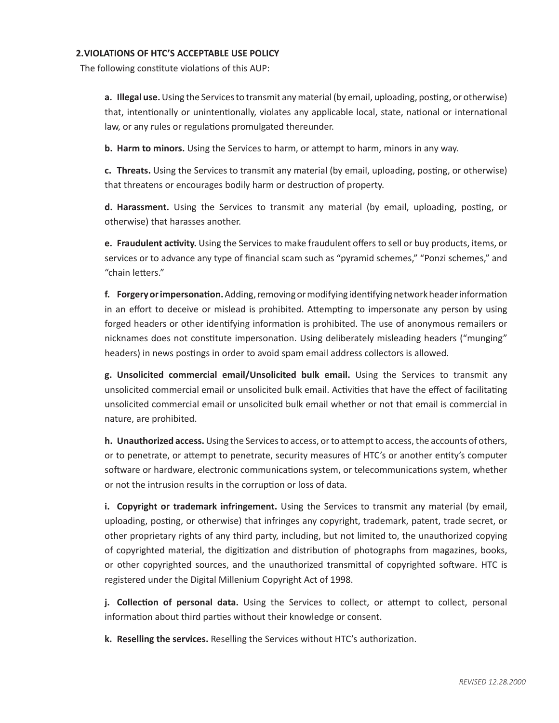### **2.VIOLATIONS OF HTC'S ACCEPTABLE USE POLICY**

The following constitute violations of this AUP:

**a. Illegal use.** Using the Services to transmit any material (by email, uploading, posting, or otherwise) that, intentionally or unintentionally, violates any applicable local, state, national or international law, or any rules or regulations promulgated thereunder.

**b. Harm to minors.** Using the Services to harm, or attempt to harm, minors in any way.

**c. Threats.** Using the Services to transmit any material (by email, uploading, posting, or otherwise) that threatens or encourages bodily harm or destruction of property.

**d. Harassment.** Using the Services to transmit any material (by email, uploading, posting, or otherwise) that harasses another.

**e. Fraudulent activity.** Using the Services to make fraudulent offers to sell or buy products, items, or services or to advance any type of financial scam such as "pyramid schemes," "Ponzi schemes," and "chain letters."

**f. Forgery or impersonation.** Adding, removing or modifying identifying network header information in an effort to deceive or mislead is prohibited. Attempting to impersonate any person by using forged headers or other identifying information is prohibited. The use of anonymous remailers or nicknames does not constitute impersonation. Using deliberately misleading headers ("munging" headers) in news postings in order to avoid spam email address collectors is allowed.

**g. Unsolicited commercial email/Unsolicited bulk email.** Using the Services to transmit any unsolicited commercial email or unsolicited bulk email. Activities that have the effect of facilitating unsolicited commercial email or unsolicited bulk email whether or not that email is commercial in nature, are prohibited.

**h. Unauthorized access.** Using the Services to access, or to attempt to access, the accounts of others, or to penetrate, or attempt to penetrate, security measures of HTC's or another entity's computer software or hardware, electronic communications system, or telecommunications system, whether or not the intrusion results in the corruption or loss of data.

**i. Copyright or trademark infringement.** Using the Services to transmit any material (by email, uploading, posting, or otherwise) that infringes any copyright, trademark, patent, trade secret, or other proprietary rights of any third party, including, but not limited to, the unauthorized copying of copyrighted material, the digitization and distribution of photographs from magazines, books, or other copyrighted sources, and the unauthorized transmittal of copyrighted software. HTC is registered under the Digital Millenium Copyright Act of 1998.

**j. Collection of personal data.** Using the Services to collect, or attempt to collect, personal information about third parties without their knowledge or consent.

**k. Reselling the services.** Reselling the Services without HTC's authorization.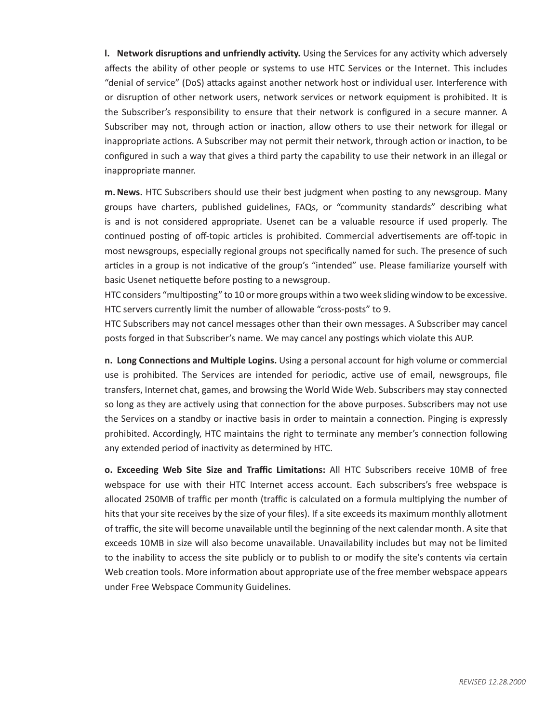**l. Network disruptions and unfriendly activity.** Using the Services for any activity which adversely affects the ability of other people or systems to use HTC Services or the Internet. This includes "denial of service" (DoS) attacks against another network host or individual user. Interference with or disruption of other network users, network services or network equipment is prohibited. It is the Subscriber's responsibility to ensure that their network is configured in a secure manner. A Subscriber may not, through action or inaction, allow others to use their network for illegal or inappropriate actions. A Subscriber may not permit their network, through action or inaction, to be configured in such a way that gives a third party the capability to use their network in an illegal or inappropriate manner.

**m.News.** HTC Subscribers should use their best judgment when posting to any newsgroup. Many groups have charters, published guidelines, FAQs, or "community standards" describing what is and is not considered appropriate. Usenet can be a valuable resource if used properly. The continued posting of off-topic articles is prohibited. Commercial advertisements are off-topic in most newsgroups, especially regional groups not specifically named for such. The presence of such articles in a group is not indicative of the group's "intended" use. Please familiarize yourself with basic Usenet netiquette before posting to a newsgroup.

HTC considers "multiposting" to 10 or more groups within a two week sliding window to be excessive. HTC servers currently limit the number of allowable "cross-posts" to 9.

HTC Subscribers may not cancel messages other than their own messages. A Subscriber may cancel posts forged in that Subscriber's name. We may cancel any postings which violate this AUP.

**n. Long Connections and Multiple Logins.** Using a personal account for high volume or commercial use is prohibited. The Services are intended for periodic, active use of email, newsgroups, file transfers, Internet chat, games, and browsing the World Wide Web. Subscribers may stay connected so long as they are actively using that connection for the above purposes. Subscribers may not use the Services on a standby or inactive basis in order to maintain a connection. Pinging is expressly prohibited. Accordingly, HTC maintains the right to terminate any member's connection following any extended period of inactivity as determined by HTC.

**o. Exceeding Web Site Size and Traffic Limitations:** All HTC Subscribers receive 10MB of free webspace for use with their HTC Internet access account. Each subscribers's free webspace is allocated 250MB of traffic per month (traffic is calculated on a formula multiplying the number of hits that your site receives by the size of your files). If a site exceeds its maximum monthly allotment of traffic, the site will become unavailable until the beginning of the next calendar month. A site that exceeds 10MB in size will also become unavailable. Unavailability includes but may not be limited to the inability to access the site publicly or to publish to or modify the site's contents via certain Web creation tools. More information about appropriate use of the free member webspace appears under Free Webspace Community Guidelines.